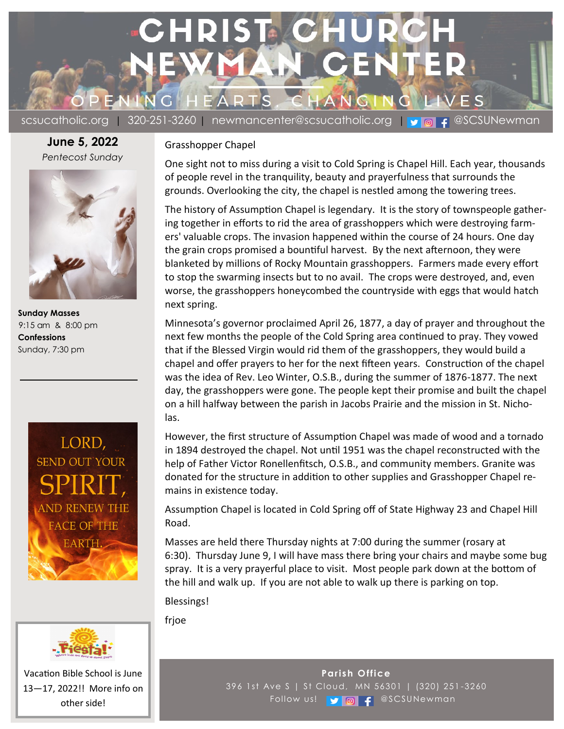

scsucatholic.org | 320-251-3260 | newmancenter@scsucatholic.org | v | a | 4 @SCSUNewman

**June 5, 2022** *Pentecost Sunday*



 **Sunday Masses** 9:15 am & 8:00 pm  **Confessions** Sunday, 7:30 pm





Vacation Bible School is June 13—17, 2022!! More info on other side!

## Grasshopper Chapel

One sight not to miss during a visit to Cold Spring is Chapel Hill. Each year, thousands of people revel in the tranquility, beauty and prayerfulness that surrounds the grounds. Overlooking the city, the chapel is nestled among the towering trees.

The history of Assumption Chapel is legendary. It is the story of townspeople gathering together in efforts to rid the area of grasshoppers which were destroying farmers' valuable crops. The invasion happened within the course of 24 hours. One day the grain crops promised a bountiful harvest. By the next afternoon, they were blanketed by millions of Rocky Mountain grasshoppers. Farmers made every effort to stop the swarming insects but to no avail. The crops were destroyed, and, even worse, the grasshoppers honeycombed the countryside with eggs that would hatch next spring.

Minnesota's governor proclaimed April 26, 1877, a day of prayer and throughout the next few months the people of the Cold Spring area continued to pray. They vowed that if the Blessed Virgin would rid them of the grasshoppers, they would build a chapel and offer prayers to her for the next fifteen years. Construction of the chapel was the idea of Rev. Leo Winter, O.S.B., during the summer of 1876-1877. The next day, the grasshoppers were gone. The people kept their promise and built the chapel on a hill halfway between the parish in Jacobs Prairie and the mission in St. Nicholas.

However, the first structure of Assumption Chapel was made of wood and a tornado in 1894 destroyed the chapel. Not until 1951 was the chapel reconstructed with the help of Father Victor Ronellenfitsch, O.S.B., and community members. Granite was donated for the structure in addition to other supplies and Grasshopper Chapel remains in existence today.

Assumption Chapel is located in Cold Spring off of State Highway 23 and Chapel Hill Road.

Masses are held there Thursday nights at 7:00 during the summer (rosary at 6:30). Thursday June 9, I will have mass there bring your chairs and maybe some bug spray. It is a very prayerful place to visit. Most people park down at the bottom of the hill and walk up. If you are not able to walk up there is parking on top.

Blessings!

frjoe